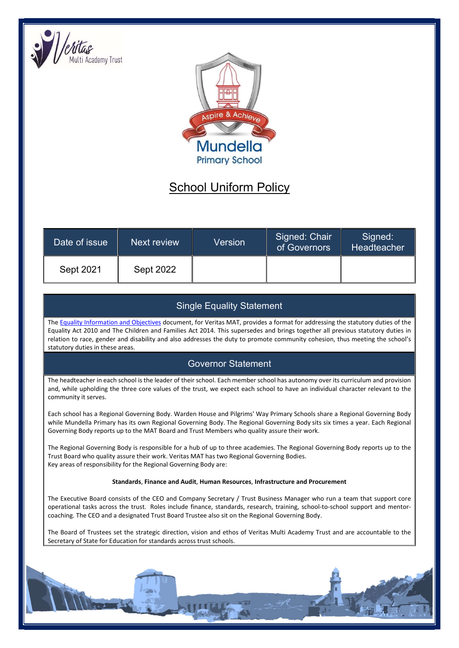



## School Uniform Policy

| Date of issue | Next review      | Version | Signed: Chair<br>of Governors | Signed:<br>Headteacher |
|---------------|------------------|---------|-------------------------------|------------------------|
| Sept 2021     | <b>Sept 2022</b> |         |                               |                        |

## Single Equality Statement

The Equality Information and Objectives document, for Veritas MAT, provides a format for addressing the statutory duties of the Equality Act 2010 and The Children and Families Act 2014. This supersedes and brings together all previous statutory duties in relation to race, gender and disability and also addresses the duty to promote community cohesion, thus meeting the school's statutory duties in these areas.

## Governor Statement

The headteacher in each school is the leader of their school. Each member school has autonomy over its curriculum and provision and, while upholding the three core values of the trust, we expect each school to have an individual character relevant to the community it serves.

Each school has a Regional Governing Body. Warden House and Pilgrims' Way Primary Schools share a Regional Governing Body while Mundella Primary has its own Regional Governing Body. The Regional Governing Body sits six times a year. Each Regional Governing Body reports up to the MAT Board and Trust Members who quality assure their work.

The Regional Governing Body is responsible for a hub of up to three academies. The Regional Governing Body reports up to the Trust Board who quality assure their work. Veritas MAT has two Regional Governing Bodies. Key areas of responsibility for the Regional Governing Body are:

## Standards, Finance and Audit, Human Resources, Infrastructure and Procurement

The Executive Board consists of the CEO and Company Secretary / Trust Business Manager who run a team that support core operational tasks across the trust. Roles include finance, standards, research, training, school-to-school support and mentorcoaching. The CEO and a designated Trust Board Trustee also sit on the Regional Governing Body.

The Board of Trustees set the strategic direction, vision and ethos of Veritas Multi Academy Trust and are accountable to the Secretary of State for Education for standards across trust schools.